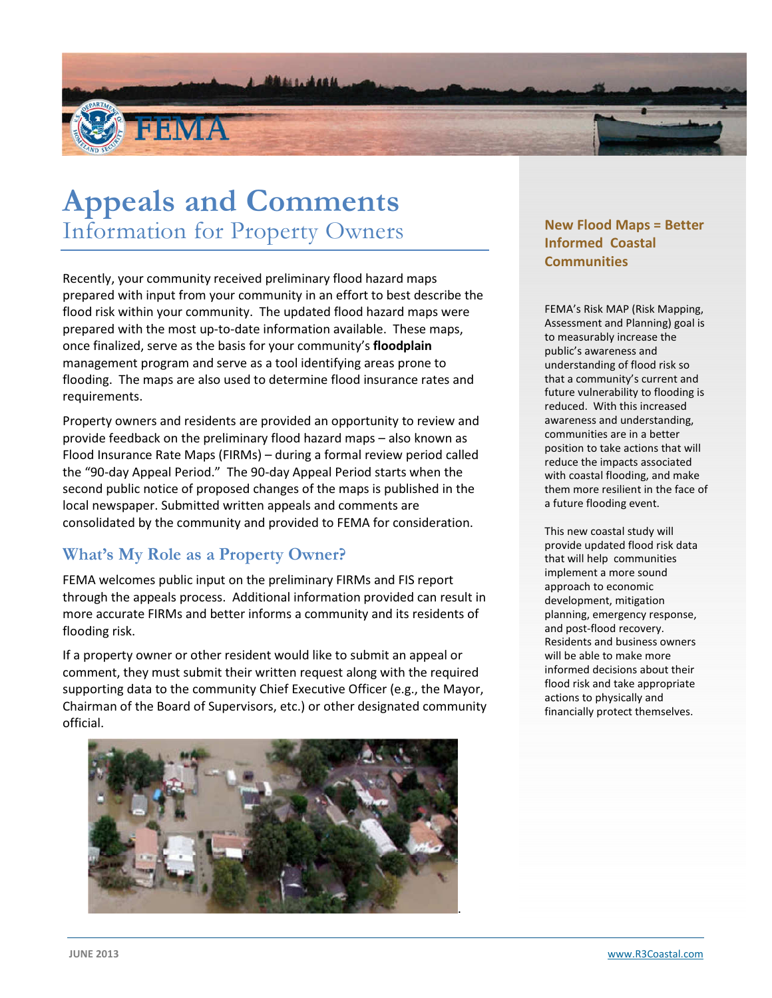

# Appeals and Comments Information for Property Owners

Recently, your community received preliminary flood hazard maps prepared with input from your community in an effort to best describe the flood risk within your community. The updated flood hazard maps were prepared with the most up-to-date information available. These maps, once finalized, serve as the basis for your community's floodplain management program and serve as a tool identifying areas prone to flooding. The maps are also used to determine flood insurance rates and requirements.

Property owners and residents are provided an opportunity to review and provide feedback on the preliminary flood hazard maps – also known as Flood Insurance Rate Maps (FIRMs) – during a formal review period called the "90-day Appeal Period." The 90-day Appeal Period starts when the second public notice of proposed changes of the maps is published in the local newspaper. Submitted written appeals and comments are consolidated by the community and provided to FEMA for consideration.

#### What's My Role as a Property Owner?

FEMA welcomes public input on the preliminary FIRMs and FIS report through the appeals process. Additional information provided can result in more accurate FIRMs and better informs a community and its residents of flooding risk.

If a property owner or other resident would like to submit an appeal or comment, they must submit their written request along with the required supporting data to the community Chief Executive Officer (e.g., the Mayor, Chairman of the Board of Supervisors, etc.) or other designated community official.



#### New Flood Maps = Better Informed Coastal **Communities**

FEMA's Risk MAP (Risk Mapping, Assessment and Planning) goal is to measurably increase the public's awareness and understanding of flood risk so that a community's current and future vulnerability to flooding is reduced. With this increased awareness and understanding, communities are in a better position to take actions that will reduce the impacts associated with coastal flooding, and make them more resilient in the face of a future flooding event.

This new coastal study will provide updated flood risk data that will help communities implement a more sound approach to economic development, mitigation planning, emergency response, and post-flood recovery. Residents and business owners will be able to make more informed decisions about their flood risk and take appropriate actions to physically and financially protect themselves.